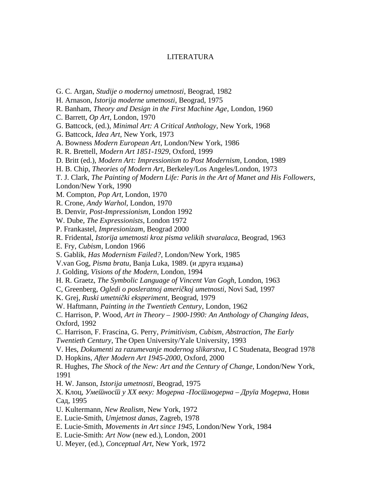## LITERATURA

- G. C. Argan, *Studije o modernoj umetnosti*, Beograd, 1982
- H. Arnason, *Istorija moderne umetnosti*, Beograd, 1975
- R. Banham, *Theory and Design in the First Machine Age*, London, 1960
- C. Barrett, *Op Art*, London, 1970
- G. Battcock, (ed.), *Minimal Art: A Critical Anthology*, New York, 1968
- G. Battcock, *Idea Art*, New York, 1973
- A. Bowness *Modern European Art*, London/New York, 1986
- R. R. Brettell, *Modern Art 1851-1929*, Oxford, 1999
- D. Britt (ed.), *Modern Art: Impressionism to Post Modernism*, London, 1989
- H. B. Chip, *Theories of Modern Art*, Berkeley/Los Angeles/London, 1973
- T. J. Clark, *The Painting of Modern Life: Paris in the Art of Manet and His Followers*, London/New York, 1990
- M. Compton, *Pop Art*, London, 1970
- R. Crone, *Andy Warhol*, London, 1970
- B. Denvir, *Post-Impressionism*, London 1992
- W. Dube, *The Expressionists*, London 1972
- P. Frankastel, *Impresionizam*, Beograd 2000
- R. Fridental, *Istorija umetnosti kroz pisma velikih stvaralaca*, Beograd, 1963
- E. Fry, *Cubism*, London 1966
- S. Gablik, *Has Modernism Failed?*, London/New York, 1985
- V.van Gog, *Pisma bratu*, Banja Luka, 1989. (и друга издања)
- J. Golding, *Visions of the Modern*, London, 1994
- H. R. Graetz, *The Symbolic Language of Vincent Van Gogh*, London, 1963
- C, Greenberg, *Ogledi o posleratnoj američkoj umetnosti*, Novi Sad, 1997
- K. Grej, *Ruski umetnički eksperiment*, Beograd, 1979
- W. Haftmann, *Painting in the Twentieth Century*, London, 1962
- C. Harrison, P. Wood, *Art in Theory 1900-1990: An Anthology of Changing Ideas*, Oxford, 1992
- C. Harrison, F. Frascina, G. Perry, *Primitivism, Cubism, Abstraction, The Early Twentieth Century*, The Open University/Yale University, 1993
- V. Hes, *Dokumenti za razumevanje modernog slikarstva*, I C Studenata, Beograd 1978
- D. Hopkins, *After Modern Art 1945-2000*, Oxford, 2000
- R. Hughes, *The Shock of the New: Art and the Century of Change*, London/New York, 1991
- H. W. Janson, *Istorija umetnosti*, Beograd, 1975
- Х. Клоц, *Уметност у XX веку: Модерна -Постмодерна Друга Модерна*, Нови Сад, 1995
- U. Kultermann, *New Realism*, New York, 1972
- E. Lucie-Smith, *Umjetnost danas*, Zagreb, 1978
- E. Lucie-Smith, *Movements in Art since 1945*, London/New York, 1984
- E. Lucie-Smith: *Art Now* (new ed.), London, 2001
- U. Meyer, (ed.), *Conceptual Art*, New York, 1972